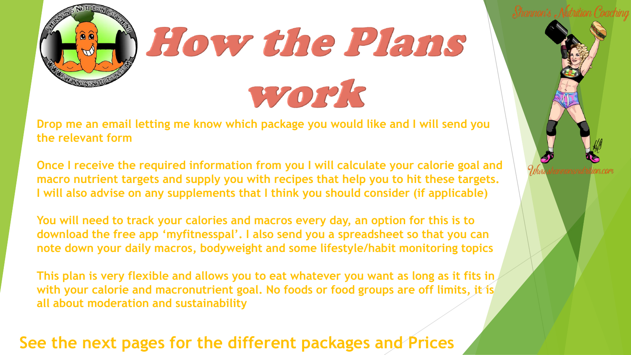

**Drop me an email letting me know which package you would like and I will send you the relevant form**

**Once I receive the required information from you I will calculate your calorie goal and macro nutrient targets and supply you with recipes that help you to hit these targets. I will also advise on any supplements that I think you should consider (if applicable)**

**You will need to track your calories and macros every day, an option for this is to download the free app 'myfitnesspal'. I also send you a spreadsheet so that you can note down your daily macros, bodyweight and some lifestyle/habit monitoring topics**

**This plan is very flexible and allows you to eat whatever you want as long as it fits in with your calorie and macronutrient goal. No foods or food groups are off limits, it is all about moderation and sustainability**

#### **See the next pages for the different packages and Prices**

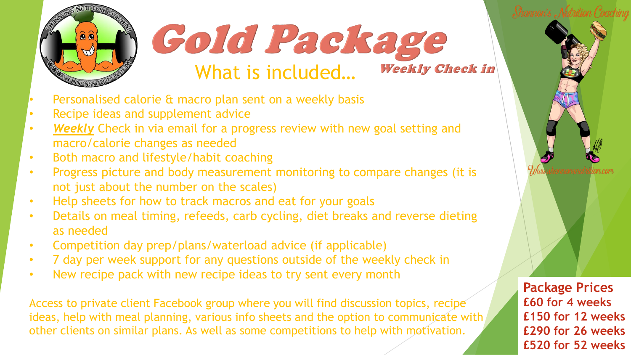

#### Cold Package What is included… **Weekly Check in**

- Personalised calorie & macro plan sent on a weekly basis
- Recipe ideas and supplement advice
- *Weekly* Check in via email for a progress review with new goal setting and macro/calorie changes as needed
- Both macro and lifestyle/habit coaching
- Progress picture and body measurement monitoring to compare changes (it is not just about the number on the scales)
- Help sheets for how to track macros and eat for your goals
- Details on meal timing, refeeds, carb cycling, diet breaks and reverse dieting as needed
- Competition day prep/plans/waterload advice (if applicable)
- 7 day per week support for any questions outside of the weekly check in
- New recipe pack with new recipe ideas to try sent every month

Access to private client Facebook group where you will find discussion topics, recipe ideas, help with meal planning, various info sheets and the option to communicate with other clients on similar plans. As well as some competitions to help with motivation.

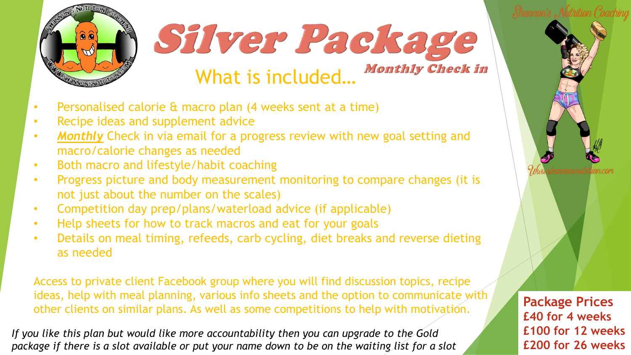



- Personalised calorie & macro plan (4 weeks sent at a time)
- Recipe ideas and supplement advice
- *Monthly* Check in via email for a progress review with new goal setting and macro/calorie changes as needed
- Both macro and lifestyle/habit coaching
- Progress picture and body measurement monitoring to compare changes (it is not just about the number on the scales)
- Competition day prep/plans/waterload advice (if applicable)
- Help sheets for how to track macros and eat for your goals
- Details on meal timing, refeeds, carb cycling, diet breaks and reverse dieting as needed

Access to private client Facebook group where you will find discussion topics, recipe ideas, help with meal planning, various info sheets and the option to communicate with other clients on similar plans. As well as some competitions to help with motivation.

*If you like this plan but would like more accountability then you can upgrade to the Gold package if there is a slot available or put your name down to be on the waiting list for a slot*



**Package Prices £40 for 4 weeks £100 for 12 weeks £200 for 26 weeks**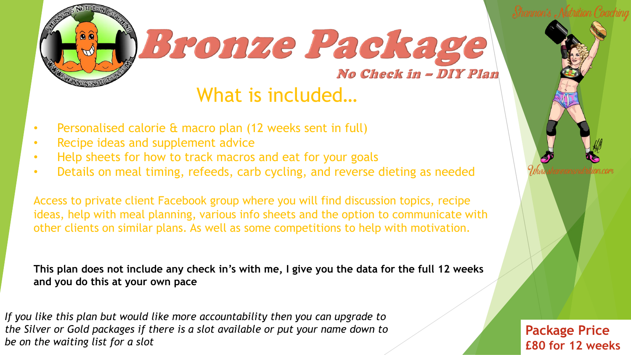



### What is included…

- Personalised calorie & macro plan (12 weeks sent in full)
- Recipe ideas and supplement advice
- Help sheets for how to track macros and eat for your goals
- Details on meal timing, refeeds, carb cycling, and reverse dieting as needed

Access to private client Facebook group where you will find discussion topics, recipe ideas, help with meal planning, various info sheets and the option to communicate with other clients on similar plans. As well as some competitions to help with motivation.

**This plan does not include any check in's with me, I give you the data for the full 12 weeks and you do this at your own pace** 

*If you like this plan but would like more accountability then you can upgrade to the Silver or Gold packages if there is a slot available or put your name down to be on the waiting list for a slot*

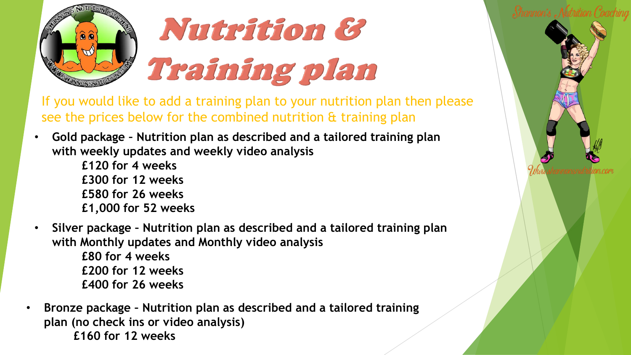

# Nutrition & Training plan

If you would like to add a training plan to your nutrition plan then please see the prices below for the combined nutrition & training plan

- **Gold package – Nutrition plan as described and a tailored training plan with weekly updates and weekly video analysis**
	- **£120 for 4 weeks £300 for 12 weeks £580 for 26 weeks £1,000 for 52 weeks**
- **Silver package – Nutrition plan as described and a tailored training plan with Monthly updates and Monthly video analysis £80 for 4 weeks £200 for 12 weeks £400 for 26 weeks**
- **Bronze package – Nutrition plan as described and a tailored training plan (no check ins or video analysis) £160 for 12 weeks**

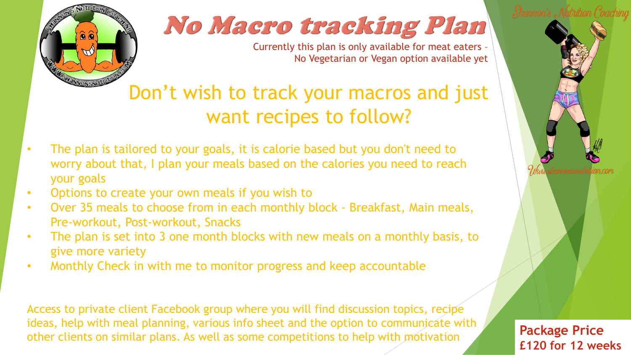

### No Macro tracking Plan

Currently this plan is only available for meat eaters – No Vegetarian or Vegan option available yet

### Don't wish to track your macros and just want recipes to follow?

- The plan is tailored to your goals, it is calorie based but you don't need to worry about that, I plan your meals based on the calories you need to reach your goals
- Options to create your own meals if you wish to
- Over 35 meals to choose from in each monthly block Breakfast, Main meals, Pre-workout, Post-workout, Snacks
- The plan is set into 3 one month blocks with new meals on a monthly basis, to give more variety
- Monthly Check in with me to monitor progress and keep accountable

Access to private client Facebook group where you will find discussion topics, recipe ideas, help with meal planning, various info sheet and the option to communicate with other clients on similar plans. As well as some competitions to help with motivation **Package Price**

**£120 for 12 weeks**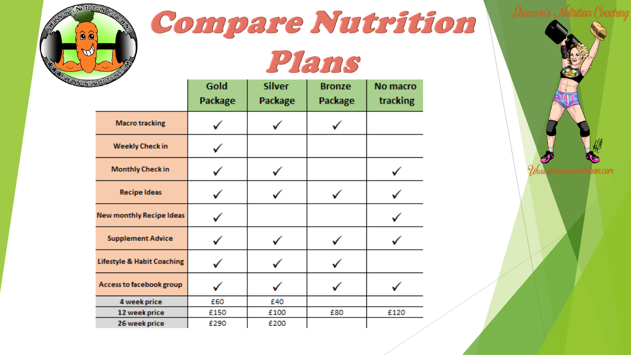

## Compare Nutrition

### Plans

| <b>CONFLIGATION</b>                   | Gold<br>Package | <b>Silver</b><br>Package | <b>Bronze</b><br>Package | No macro<br>tracking |
|---------------------------------------|-----------------|--------------------------|--------------------------|----------------------|
| <b>Macro tracking</b>                 |                 |                          |                          |                      |
| <b>Weekly Check in</b>                |                 |                          |                          |                      |
| <b>Monthly Check in</b>               |                 |                          |                          |                      |
| <b>Recipe Ideas</b>                   |                 |                          |                          |                      |
| <b>New monthly Recipe Ideas</b>       |                 |                          |                          |                      |
| <b>Supplement Advice</b>              |                 |                          |                          |                      |
| <b>Lifestyle &amp; Habit Coaching</b> |                 |                          |                          |                      |
| Access to facebook group              |                 |                          |                          |                      |
| 4 week price                          | £60             | £40                      |                          |                      |
| 12 week price                         | £150            | £100                     | £80                      | £120                 |
| 26 week price                         | £290            | £200                     |                          |                      |